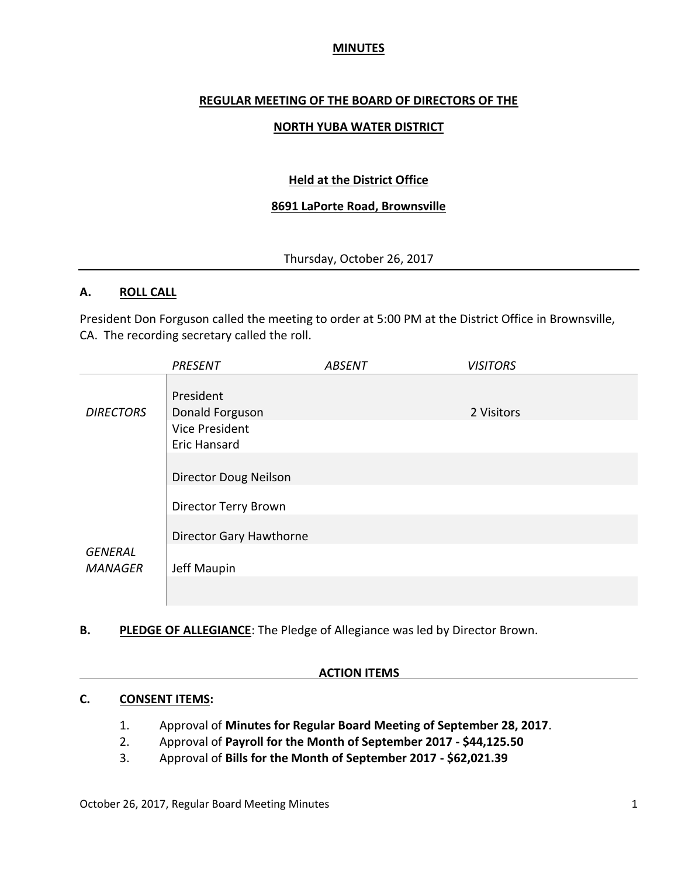## **MINUTES**

## **REGULAR MEETING OF THE BOARD OF DIRECTORS OF THE**

### **NORTH YUBA WATER DISTRICT**

## **Held at the District Office**

### **8691 LaPorte Road, Brownsville**

## Thursday, October 26, 2017

#### **A. ROLL CALL**

President Don Forguson called the meeting to order at 5:00 PM at the District Office in Brownsville, CA. The recording secretary called the roll.

|                                  | <b>PRESENT</b>               | <b>ABSENT</b> | <b>VISITORS</b> |
|----------------------------------|------------------------------|---------------|-----------------|
|                                  | President                    |               |                 |
| <b>DIRECTORS</b>                 | Donald Forguson              |               | 2 Visitors      |
|                                  | Vice President               |               |                 |
|                                  | <b>Eric Hansard</b>          |               |                 |
|                                  |                              |               |                 |
|                                  | <b>Director Doug Neilson</b> |               |                 |
|                                  | Director Terry Brown         |               |                 |
|                                  | Director Gary Hawthorne      |               |                 |
| <b>GENERAL</b><br><b>MANAGER</b> | Jeff Maupin                  |               |                 |
|                                  |                              |               |                 |

**B. PLEDGE OF ALLEGIANCE**: The Pledge of Allegiance was led by Director Brown.

#### **ACTION ITEMS**

#### **C. CONSENT ITEMS:**

- 1. Approval of **Minutes for Regular Board Meeting of September 28, 2017**.
- 2. Approval of **Payroll for the Month of September 2017 - \$44,125.50**
- 3. Approval of **Bills for the Month of September 2017 - \$62,021.39**

October 26, 2017, Regular Board Meeting Minutes 1 and 2008 1 and 2008 1 and 2008 1 and 2008 1 and 2008 1 and 2008 1 and 2008 1 and 2008 1 and 2008 1 and 2008 1 and 2008 1 and 2008 1 and 2008 1 and 2008 1 and 2008 1 and 200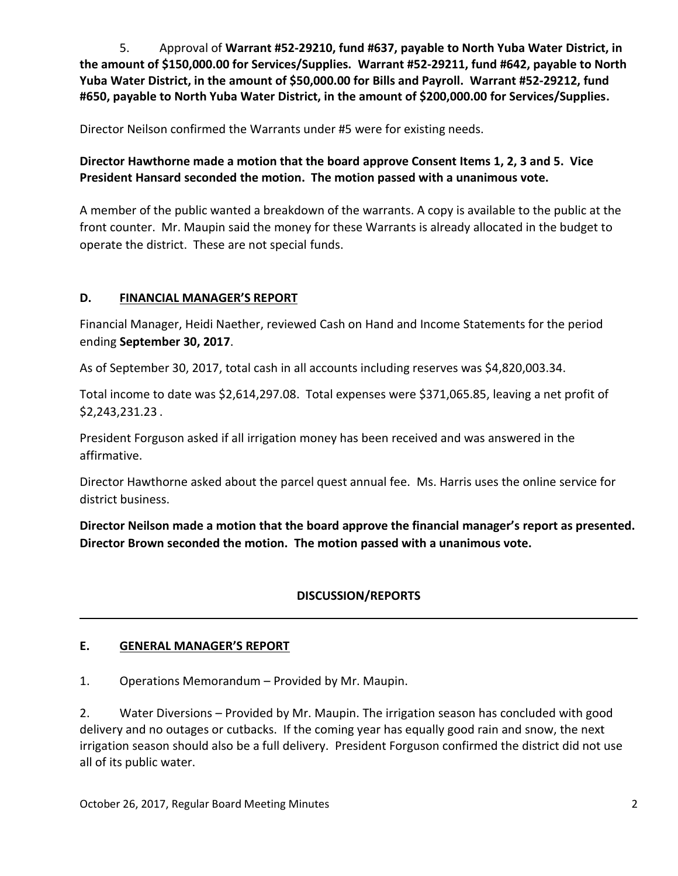5. Approval of **Warrant #52-29210, fund #637, payable to North Yuba Water District, in the amount of \$150,000.00 for Services/Supplies. Warrant #52-29211, fund #642, payable to North Yuba Water District, in the amount of \$50,000.00 for Bills and Payroll. Warrant #52-29212, fund #650, payable to North Yuba Water District, in the amount of \$200,000.00 for Services/Supplies.**

Director Neilson confirmed the Warrants under #5 were for existing needs.

**Director Hawthorne made a motion that the board approve Consent Items 1, 2, 3 and 5. Vice President Hansard seconded the motion. The motion passed with a unanimous vote.**

A member of the public wanted a breakdown of the warrants. A copy is available to the public at the front counter. Mr. Maupin said the money for these Warrants is already allocated in the budget to operate the district. These are not special funds.

# **D. FINANCIAL MANAGER'S REPORT**

Financial Manager, Heidi Naether, reviewed Cash on Hand and Income Statements for the period ending **September 30, 2017**.

As of September 30, 2017, total cash in all accounts including reserves was \$4,820,003.34.

Total income to date was \$2,614,297.08. Total expenses were \$371,065.85, leaving a net profit of \$2,243,231.23 .

President Forguson asked if all irrigation money has been received and was answered in the affirmative.

Director Hawthorne asked about the parcel quest annual fee. Ms. Harris uses the online service for district business.

**Director Neilson made a motion that the board approve the financial manager's report as presented. Director Brown seconded the motion. The motion passed with a unanimous vote.** 

# **DISCUSSION/REPORTS**

# **E. GENERAL MANAGER'S REPORT**

1. Operations Memorandum – Provided by Mr. Maupin.

2. Water Diversions – Provided by Mr. Maupin. The irrigation season has concluded with good delivery and no outages or cutbacks. If the coming year has equally good rain and snow, the next irrigation season should also be a full delivery. President Forguson confirmed the district did not use all of its public water.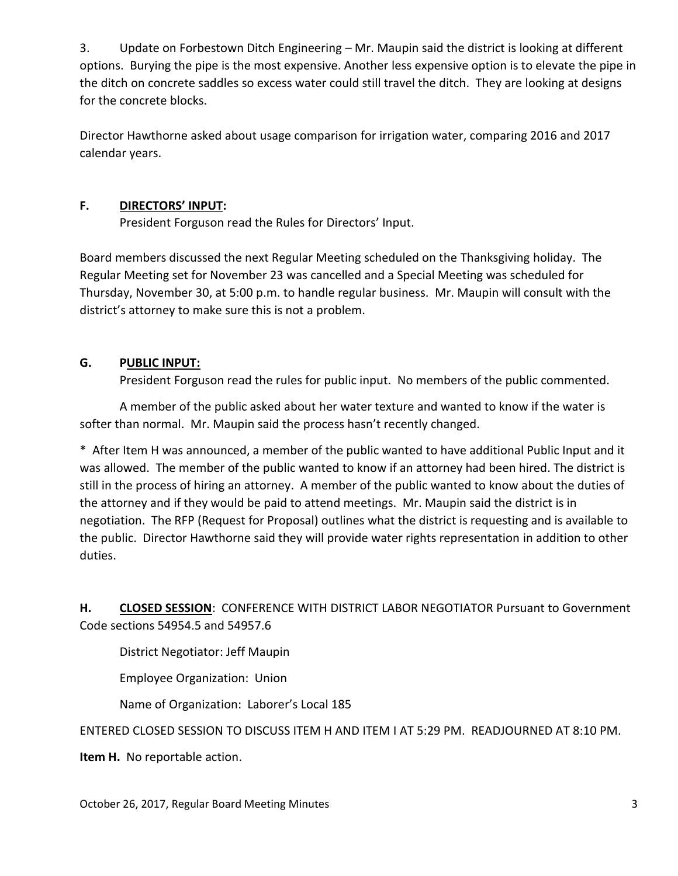3. Update on Forbestown Ditch Engineering – Mr. Maupin said the district is looking at different options. Burying the pipe is the most expensive. Another less expensive option is to elevate the pipe in the ditch on concrete saddles so excess water could still travel the ditch. They are looking at designs for the concrete blocks.

Director Hawthorne asked about usage comparison for irrigation water, comparing 2016 and 2017 calendar years.

## **F. DIRECTORS' INPUT:**

President Forguson read the Rules for Directors' Input.

Board members discussed the next Regular Meeting scheduled on the Thanksgiving holiday. The Regular Meeting set for November 23 was cancelled and a Special Meeting was scheduled for Thursday, November 30, at 5:00 p.m. to handle regular business. Mr. Maupin will consult with the district's attorney to make sure this is not a problem.

# **G. PUBLIC INPUT:**

President Forguson read the rules for public input. No members of the public commented.

A member of the public asked about her water texture and wanted to know if the water is softer than normal. Mr. Maupin said the process hasn't recently changed.

\* After Item H was announced, a member of the public wanted to have additional Public Input and it was allowed. The member of the public wanted to know if an attorney had been hired. The district is still in the process of hiring an attorney. A member of the public wanted to know about the duties of the attorney and if they would be paid to attend meetings. Mr. Maupin said the district is in negotiation. The RFP (Request for Proposal) outlines what the district is requesting and is available to the public. Director Hawthorne said they will provide water rights representation in addition to other duties.

**H. CLOSED SESSION**: CONFERENCE WITH DISTRICT LABOR NEGOTIATOR Pursuant to Government Code sections 54954.5 and 54957.6

District Negotiator: Jeff Maupin

Employee Organization: Union

Name of Organization: Laborer's Local 185

## ENTERED CLOSED SESSION TO DISCUSS ITEM H AND ITEM I AT 5:29 PM. READJOURNED AT 8:10 PM.

**Item H.** No reportable action.

October 26, 2017, Regular Board Meeting Minutes 3